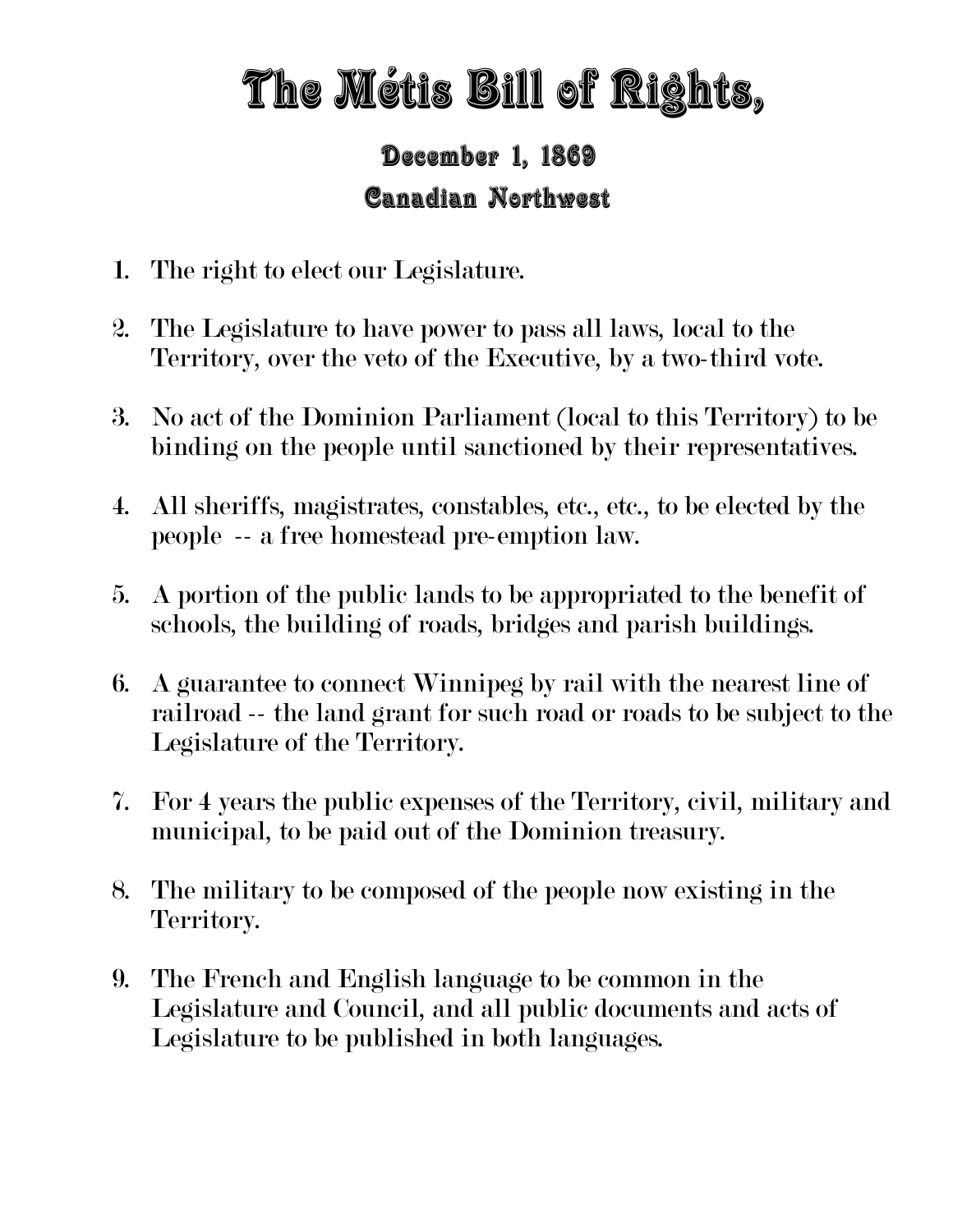## The Métis Bill of Rights,

## December 1, 1869 Canadian Northwest

- 1. The right to elect our Legislature.
- 2. The Legislature to have power to pass all laws, local to the Territory, over the veto of the Executive, by a two-third vote.
- 3. No act of the Dominion Parliament (local to this Territory) to be binding on the people until sanctioned by their representatives.
- 4. All sheriffs, magistrates, constables, etc., etc., to be elected by the people -- a free homestead pre-emption law.
- 5. A portion of the public lands to be appropriated to the benefit of schools, the building of roads, bridges and parish buildings.
- 6. A guarantee to connect Winnipeg by rail with the nearest line of railroad -- the land grant for such road or roads to be subject to the Legislature of the Territory.
- 7. For 4 years the public expenses of the Territory, civil, military and municipal, to be paid out of the Dominion treasury.
- 8. The military to be composed of the people now existing in the Territory.
- 9. The French and English language to be common in the Legislature and Council, and all public documents and acts of Legislature to be published in both languages.